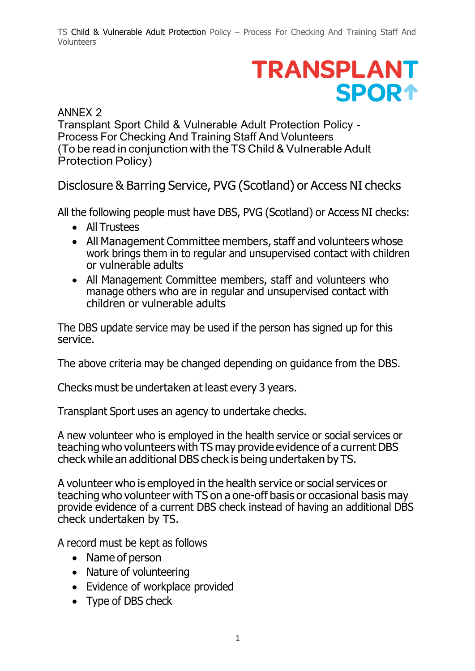TS Child & Vulnerable Adult Protection Policy – Process For Checking And Training Staff And Volunteers

## **TRANSPLANT SPOR1**

## ANNEX 2

Transplant Sport Child & Vulnerable Adult Protection Policy - Process For Checking And Training Staff And Volunteers (To be read in conjunction with the TS Child & Vulnerable Adult Protection Policy)

Disclosure & Barring Service, PVG (Scotland) or Access NI checks

All the following people must have DBS, PVG (Scotland) or Access NI checks:

- All Trustees
- All Management Committee members, staff and volunteers whose work brings them in to regular and unsupervised contact with children or vulnerable adults
- All Management Committee members, staff and volunteers who manage others who are in regular and unsupervised contact with children or vulnerable adults

The DBS update service may be used if the person has signed up for this service.

The above criteria may be changed depending on guidance from the DBS.

Checks must be undertaken at least every 3 years.

Transplant Sport uses an agency to undertake checks.

A new volunteer who is employed in the health service or social services or teaching who volunteers with TS may provide evidence of a current DBS check while an additional DBS check is being undertaken by TS.

A volunteer who is employed in the health service or social services or teaching who volunteer with TS on a one-off basis or occasional basis may provide evidence of a current DBS check instead of having an additional DBS check undertaken by TS.

A record must be kept as follows

- Name of person
- Nature of volunteering
- Evidence of workplace provided
- Type of DBS check